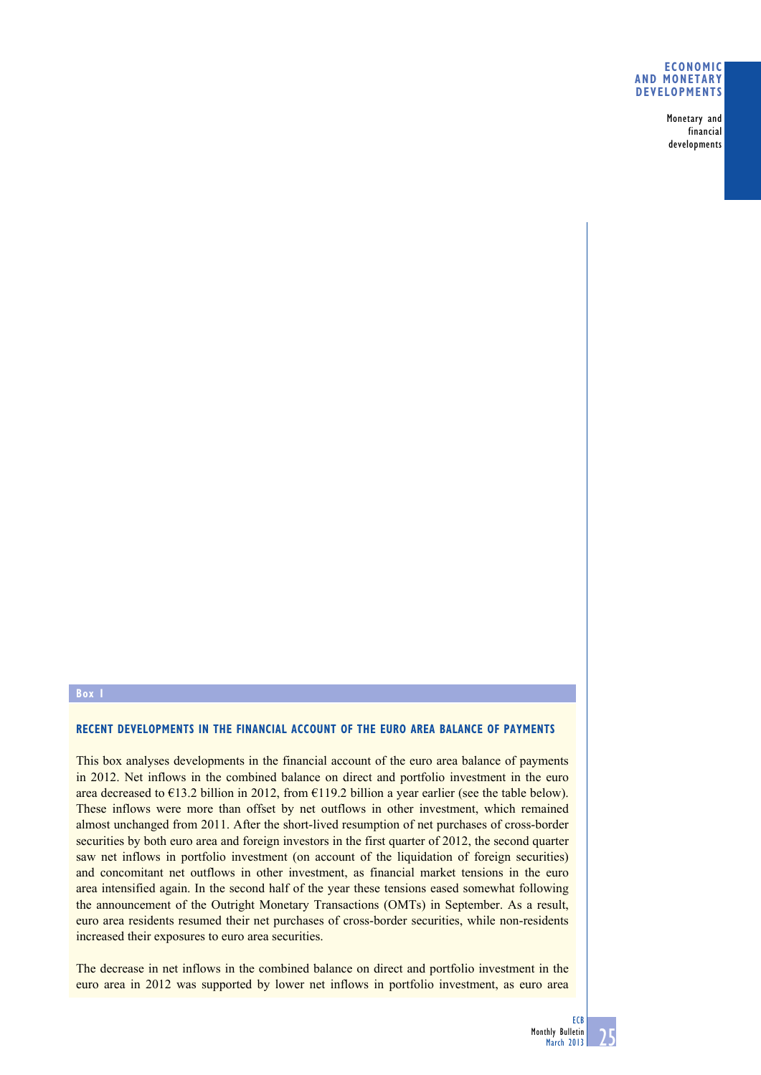### **economic and monetary deVeloPmentS**

Monetary and financial developments

## **box**

# **recent deVeloPmentS in the financial account of the euro area balance of PaymentS**

This box analyses developments in the financial account of the euro area balance of payments in 2012. Net inflows in the combined balance on direct and portfolio investment in the euro area decreased to  $\epsilon$ 13.2 billion in 2012, from  $\epsilon$ 119.2 billion a year earlier (see the table below). These inflows were more than offset by net outflows in other investment, which remained almost unchanged from 2011. After the short-lived resumption of net purchases of cross-border securities by both euro area and foreign investors in the first quarter of 2012, the second quarter saw net inflows in portfolio investment (on account of the liquidation of foreign securities) and concomitant net outflows in other investment, as financial market tensions in the euro area intensified again. In the second half of the year these tensions eased somewhat following the announcement of the Outright Monetary Transactions (OMTs) in September. As a result, euro area residents resumed their net purchases of cross-border securities, while non-residents increased their exposures to euro area securities.

The decrease in net inflows in the combined balance on direct and portfolio investment in the euro area in 2012 was supported by lower net inflows in portfolio investment, as euro area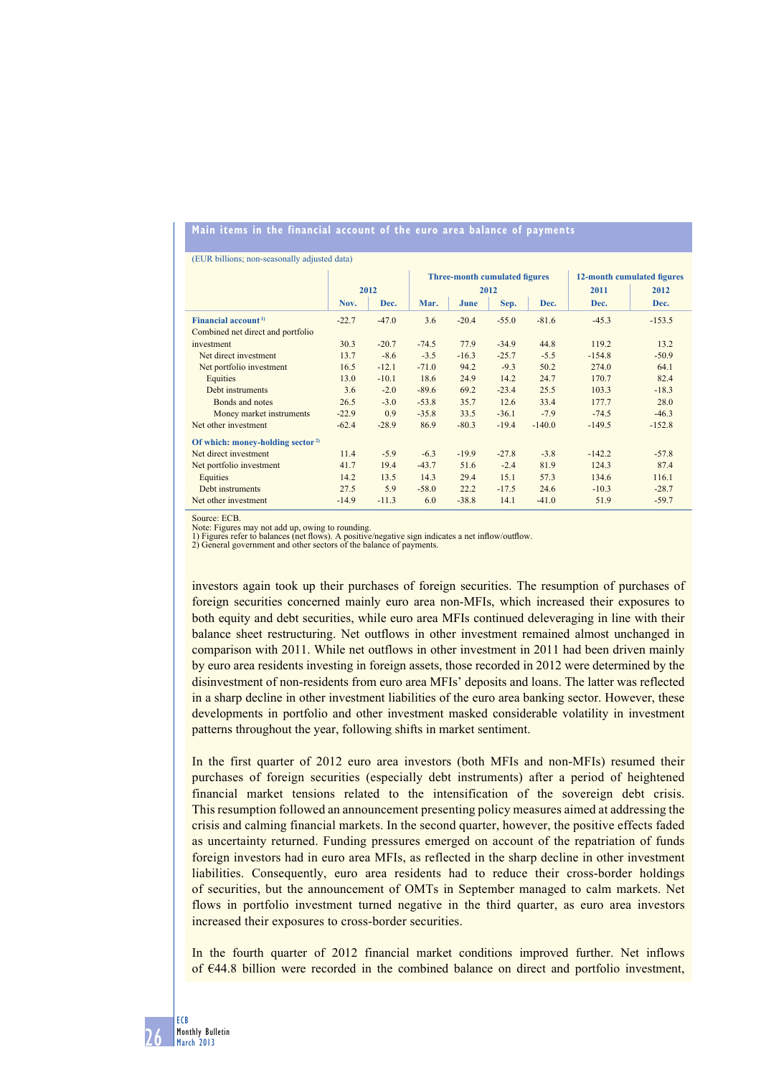### **main items in the financial account of the euro area balance of payments**

(EUR billions; non-seasonally adjusted data)

|                                              |         |         | <b>Three-month cumulated figures</b> |         |         |          | 12-month cumulated figures |          |
|----------------------------------------------|---------|---------|--------------------------------------|---------|---------|----------|----------------------------|----------|
|                                              | 2012    |         | 2012                                 |         |         |          | 2011                       | 2012     |
|                                              | Nov.    | Dec.    | Mar.                                 | June    | Sep.    | Dec.     | Dec.                       | Dec.     |
| Financial account <sup>1)</sup>              | $-22.7$ | $-47.0$ | 3.6                                  | $-20.4$ | $-55.0$ | $-81.6$  | $-45.3$                    | $-153.5$ |
| Combined net direct and portfolio            |         |         |                                      |         |         |          |                            |          |
| investment                                   | 30.3    | $-20.7$ | $-74.5$                              | 77.9    | $-34.9$ | 44.8     | 119.2                      | 13.2     |
| Net direct investment                        | 13.7    | $-8.6$  | $-3.5$                               | $-16.3$ | $-25.7$ | $-5.5$   | $-154.8$                   | $-50.9$  |
| Net portfolio investment                     | 16.5    | $-12.1$ | $-71.0$                              | 94.2    | $-9.3$  | 50.2     | 274.0                      | 64.1     |
| Equities                                     | 13.0    | $-10.1$ | 18.6                                 | 24.9    | 14.2    | 24.7     | 170.7                      | 82.4     |
| Debt instruments                             | 3.6     | $-2.0$  | $-89.6$                              | 69.2    | $-23.4$ | 25.5     | 103.3                      | $-18.3$  |
| Bonds and notes                              | 26.5    | $-3.0$  | $-53.8$                              | 35.7    | 12.6    | 33.4     | 177.7                      | 28.0     |
| Money market instruments                     | $-22.9$ | 0.9     | $-35.8$                              | 33.5    | $-36.1$ | $-7.9$   | $-74.5$                    | $-46.3$  |
| Net other investment                         | $-62.4$ | $-28.9$ | 86.9                                 | $-80.3$ | $-19.4$ | $-140.0$ | $-149.5$                   | $-152.8$ |
| Of which: money-holding sector <sup>2)</sup> |         |         |                                      |         |         |          |                            |          |
| Net direct investment                        | 11.4    | $-5.9$  | $-6.3$                               | $-19.9$ | $-27.8$ | $-3.8$   | $-142.2$                   | $-57.8$  |
| Net portfolio investment                     | 41.7    | 19.4    | $-43.7$                              | 51.6    | $-2.4$  | 81.9     | 124.3                      | 87.4     |
| Equities                                     | 14.2    | 13.5    | 14.3                                 | 29.4    | 15.1    | 57.3     | 134.6                      | 116.1    |
| Debt instruments                             | 27.5    | 5.9     | $-58.0$                              | 22.2    | $-17.5$ | 24.6     | $-10.3$                    | $-28.7$  |
| Net other investment                         | $-14.9$ | $-11.3$ | 6.0                                  | $-38.8$ | 14.1    | $-41.0$  | 51.9                       | $-59.7$  |

Source: ECB.

Note: Figures may not add up, owing to rounding.

1) Figures refer to balances (net flows). A positive/negative sign indicates a net inflow/outflow.

2) General government and other sectors of the balance of payments.

investors again took up their purchases of foreign securities. The resumption of purchases of foreign securities concerned mainly euro area non-MFIs, which increased their exposures to both equity and debt securities, while euro area MFIs continued deleveraging in line with their balance sheet restructuring. Net outflows in other investment remained almost unchanged in comparison with 2011. While net outflows in other investment in 2011 had been driven mainly by euro area residents investing in foreign assets, those recorded in 2012 were determined by the disinvestment of non-residents from euro area MFIs' deposits and loans. The latter was reflected in a sharp decline in other investment liabilities of the euro area banking sector. However, these developments in portfolio and other investment masked considerable volatility in investment patterns throughout the year, following shifts in market sentiment.

In the first quarter of 2012 euro area investors (both MFIs and non-MFIs) resumed their purchases of foreign securities (especially debt instruments) after a period of heightened financial market tensions related to the intensification of the sovereign debt crisis. This resumption followed an announcement presenting policy measures aimed at addressing the crisis and calming financial markets. In the second quarter, however, the positive effects faded as uncertainty returned. Funding pressures emerged on account of the repatriation of funds foreign investors had in euro area MFIs, as reflected in the sharp decline in other investment liabilities. Consequently, euro area residents had to reduce their cross-border holdings of securities, but the announcement of OMTs in September managed to calm markets. Net flows in portfolio investment turned negative in the third quarter, as euro area investors increased their exposures to cross-border securities.

In the fourth quarter of 2012 financial market conditions improved further. Net inflows of €44.8 billion were recorded in the combined balance on direct and portfolio investment,